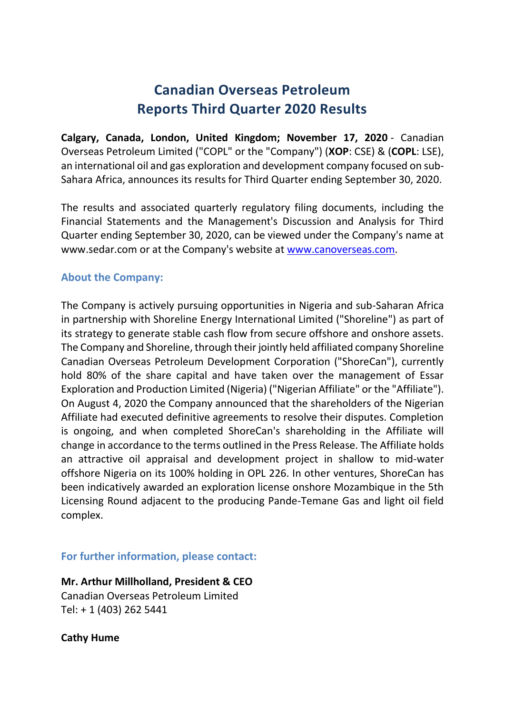# **Canadian Overseas Petroleum Reports Third Quarter 2020 Results**

**Calgary, Canada, London, United Kingdom; November 17, 2020** - Canadian Overseas Petroleum Limited ("COPL" or the "Company") (**XOP**: CSE) & (**COPL**: LSE), an international oil and gas exploration and development company focused on sub-Sahara Africa, announces its results for Third Quarter ending September 30, 2020.

The results and associated quarterly regulatory filing documents, including the Financial Statements and the Management's Discussion and Analysis for Third Quarter ending September 30, 2020, can be viewed under the Company's name at www.sedar.com or at the Company's website at www.canoverseas.com.

## **About the Company:**

The Company is actively pursuing opportunities in Nigeria and sub-Saharan Africa in partnership with Shoreline Energy International Limited ("Shoreline") as part of its strategy to generate stable cash flow from secure offshore and onshore assets. The Company and Shoreline, through their jointly held affiliated company Shoreline Canadian Overseas Petroleum Development Corporation ("ShoreCan"), currently hold 80% of the share capital and have taken over the management of Essar Exploration and Production Limited (Nigeria) ("Nigerian Affiliate" or the "Affiliate"). On August 4, 2020 the Company announced that the shareholders of the Nigerian Affiliate had executed definitive agreements to resolve their disputes. Completion is ongoing, and when completed ShoreCan's shareholding in the Affiliate will change in accordance to the terms outlined in the Press Release. The Affiliate holds an attractive oil appraisal and development project in shallow to mid-water offshore Nigeria on its 100% holding in OPL 226. In other ventures, ShoreCan has been indicatively awarded an exploration license onshore Mozambique in the 5th Licensing Round adjacent to the producing Pande-Temane Gas and light oil field complex.

## **For further information, please contact:**

**Mr. Arthur Millholland, President & CEO** Canadian Overseas Petroleum Limited Tel: + 1 (403) 262 5441

### **Cathy Hume**